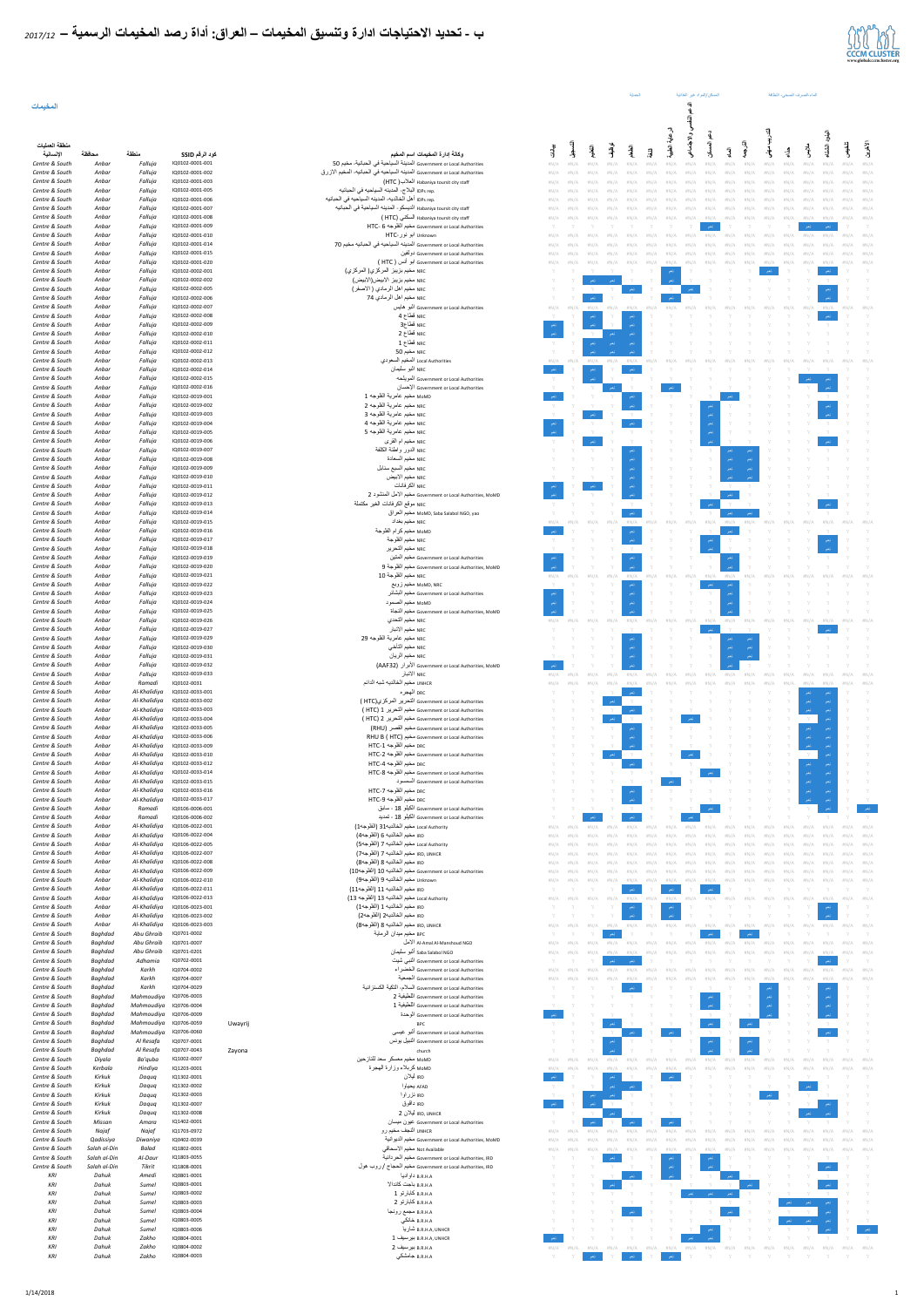

| منطقة العمليات                   | محافظة             | منطقة                        |                                    |         |                                                                                                        |                                                                                                                  | ېل<br>[۱            |
|----------------------------------|--------------------|------------------------------|------------------------------------|---------|--------------------------------------------------------------------------------------------------------|------------------------------------------------------------------------------------------------------------------|---------------------|
| الانسانية<br>Centre & South      | Anbar              | Falluja                      | كود الرقم SSID<br>IQ0102-0001-001  |         | Government or Local Authorities المدينة السياحية في الحبانية- مخيم 50                                  | وكالة إدارة المخيمات اسم المخيم                                                                                  | # $N/$              |
| Centre & South                   | Anbar              | Falluja                      | IQ0102-0001-002                    |         | Government or Local Authorities المدينه السياحيه في الحبانيه- المخيم الازرق                            |                                                                                                                  | # $N/$              |
| Centre & South                   | Anbar              | Falluja                      | IQ0102-0001-003                    |         |                                                                                                        | Habaniya toursit city staff العلاب ( HTC                                                                         | #N/                 |
| Centre & South<br>Centre & South | Anbar<br>Anbar     | Falluja<br>Falluja           | IQ0102-0001-005<br>IQ0102-0001-006 |         | .IDPs rep البلاج- المدينه السياحيه في الحبانيه<br>.IDPs rep أهل الخالديه- المدينه السياحيه في الحبانيه |                                                                                                                  | $\#N$<br>$\#N$      |
| Centre & South                   | Anbar              | Falluja                      | IQ0102-0001-007                    |         | Habaniya toursit city staff الديسكو- المدينه السياحية في الحبانيه                                      |                                                                                                                  | $\#N$               |
| Centre & South                   | Anbar              | Falluja                      | IQ0102-0001-008                    |         |                                                                                                        | Habaniya toursit city staff السكنى (HTC)                                                                         | # $N/$              |
| Centre & South<br>Centre & South | Anbar<br>Anbar     | Falluja<br>Falluja           | IQ0102-0001-009<br>IQ0102-0001-010 |         |                                                                                                        | Government or Local Authorities مخيم الفلوجه HTC- 6<br>Unknown ابو نور-HTC                                       | - Y<br>$\#N$        |
| Centre & South                   | Anbar              | Falluja                      | IQ0102-0001-014                    |         | Government or Local Authorities المدينه السياحيه في الحبانيه مخيم 70                                   |                                                                                                                  | $\#N$               |
| Centre & South                   | Anbar              | Falluja                      | IQ0102-0001-015                    |         |                                                                                                        | Government or Local Authorities دولفين                                                                           | $\#N$               |
| Centre & South<br>Centre & South | Anbar              | Falluja                      | IQ0102-0001-020                    |         | NRC مخيم بزيبز المركزي( المركزي)                                                                       | Government or Local Authorities ابو أنس ( HTC )                                                                  | # $N/$              |
| Centre & South                   | Anbar<br>Anbar     | Falluja<br>Falluja           | IQ0102-0002-001<br>IQ0102-0002-002 |         | NRC مخيم بزيبز الابيض(الابيض)                                                                          |                                                                                                                  | Y<br>$\searrow$     |
| Centre & South                   | Anbar              | Falluja                      | IQ0102-0002-005                    |         | NRC مخيم اهل الرمادي ( الاصفر )                                                                        |                                                                                                                  | $\searrow$          |
| Centre & South                   | Anbar              | Falluja                      | IQ0102-0002-006                    |         | NRC مخيم اهل الرمادي 74                                                                                |                                                                                                                  | $\searrow$          |
| Centre & South<br>Centre & South | Anbar<br>Anbar     | Falluja<br>Falluja           | IQ0102-0002-007<br>IQ0102-0002-008 |         |                                                                                                        | Government or Local Authorities البو هايس<br>NRC قطاع 4                                                          | $\#N$<br>- Y        |
| Centre & South                   | Anbar              | Falluja                      | IQ0102-0002-009                    |         |                                                                                                        | NRC قطاع3                                                                                                        | $\mathbf{r}$        |
| Centre & South                   | Anbar              | Falluja                      | IQ0102-0002-010                    |         |                                                                                                        | NRC قطاع 2                                                                                                       | لعم                 |
| Centre & South<br>Centre & South | Anbar<br>Anbar     | Falluja<br>Falluja           | IQ0102-0002-011<br>IQ0102-0002-012 |         | NRC مخيم 50                                                                                            | NRC قطاع 1                                                                                                       |                     |
| Centre & South                   | Anbar              | Falluja                      | IQ0102-0002-013                    |         |                                                                                                        | Local Authorities المخيم السعودي                                                                                 | $\#\mathsf{N}$      |
| Centre & South                   | Anbar              | Falluja                      | IQ0102-0002-014                    |         | NRC البو سليمان                                                                                        |                                                                                                                  | لعم                 |
| Centre & South<br>Centre & South | Anbar<br>Anbar     | Falluja<br>Falluja           | IQ0102-0002-015<br>IQ0102-0002-016 |         |                                                                                                        | Government or Local Authorities المويلحه                                                                         |                     |
| Centre & South                   | Anbar              | Falluja                      | IQ0102-0019-001                    |         | MoMD مخيم عامرية الفلوجه 1                                                                             | Government or Local Authorities الإحسان                                                                          | جم                  |
| Centre & South                   | Anbar              | Falluja                      | IQ0102-0019-002                    |         | NRC مخيم عامرية الفلوجه 2                                                                              |                                                                                                                  |                     |
| Centre & South<br>Centre & South | Anbar              | Falluja                      | IQ0102-0019-003                    |         | NRC مخيم عامرية الفلوجه 3<br>NRC مخيم عامرية الفلوجه 4                                                 |                                                                                                                  |                     |
| Centre & South                   | Anbar<br>Anbar     | Falluja<br>Falluja           | IQ0102-0019-004<br>IQ0102-0019-005 |         | NRC مخيم عامرية الفلوجه 5                                                                              |                                                                                                                  | حم<br>حم            |
| Centre & South                   | Anbar              | Falluja                      | IQ0102-0019-006                    |         | NRC مخيم ام القرى                                                                                      |                                                                                                                  |                     |
| Centre & South                   | Anbar              | Falluja                      | IQ0102-0019-007                    |         | NRC الدور واطئة الكلفة                                                                                 |                                                                                                                  |                     |
| Centre & South<br>Centre & South | Anbar<br>Anbar     | Falluja<br>Falluja           | IQ0102-0019-008<br>IQ0102-0019-009 |         | NRC مخيم السعادة<br>NRC مخيم السبع سنابل                                                               |                                                                                                                  |                     |
| Centre & South                   | Anbar              | Falluja                      | IQ0102-0019-010                    |         | NRC مخيم الابيض                                                                                        |                                                                                                                  |                     |
| Centre & South                   | Anbar              | Falluja                      | IQ0102-0019-011                    |         | NRC الكر فانات                                                                                         |                                                                                                                  | بعم                 |
| Centre & South<br>Centre & South | Anbar<br>Anbar     | Falluja                      | IQ0102-0019-012                    |         | NRC موقع الكرفانات الغير مكتملة                                                                        | Government or Local Authorities, MoMD مخيم الامل المنشود 2                                                       | جم                  |
| Centre & South                   | Anbar              | Falluja<br>Falluja           | IQ0102-0019-013<br>IQ0102-0019-014 |         |                                                                                                        | MoMD, Saba Salabol NGO, yao مخيم العراق                                                                          |                     |
| Centre & South                   | Anbar              | Falluja                      | IQ0102-0019-015                    |         | NRC مخيم بغداد                                                                                         |                                                                                                                  | #N/                 |
| Centre & South                   | Anbar              | Falluja                      | IQ0102-0019-016                    |         | MoMD مخيم كرام الفلوجة                                                                                 |                                                                                                                  | $\rightarrow$       |
| Centre & South<br>Centre & South | Anbar<br>Anbar     | Falluja<br>Falluja           | IQ0102-0019-017<br>IQ0102-0019-018 |         | NRC مخيم الفلوجة<br>NRC مخيم التحرير                                                                   |                                                                                                                  |                     |
| Centre & South                   | Anbar              | Falluja                      | IQ0102-0019-019                    |         |                                                                                                        | Government or Local Authorities مخيم المتين                                                                      | جم                  |
| Centre & South                   | Anbar              | Falluja                      | IQ0102-0019-020                    |         |                                                                                                        | Government or Local Authorities, MoMD مخيم الفلوجة 9                                                             | حم                  |
| Centre & South<br>Centre & South | Anbar<br>Anbar     | Falluja<br>Falluja           | IQ0102-0019-021<br>IQ0102-0019-022 |         | NRC مخيم الفلوجة 10                                                                                    |                                                                                                                  | $\#N$               |
| Centre & South                   | Anbar              | Falluja                      | IQ0102-0019-023                    |         |                                                                                                        | MoMD, NRC مخيم زوبع<br>Government or Local Authorities مخيم البشائر                                              | جم                  |
| Centre & South                   | Anbar              | Falluja                      | IQ0102-0019-024                    |         | MoMD مخيم الصمود                                                                                       |                                                                                                                  | جم                  |
| Centre & South                   | Anbar              | Falluja                      | IQ0102-0019-025                    |         |                                                                                                        | Government or Local Authorities, MoMD مخيم النجاة                                                                | يعم                 |
| Centre & South<br>Centre & South | Anbar<br>Anbar     | Falluja<br>Falluja           | IQ0102-0019-026<br>IQ0102-0019-027 |         | NRC مخيم التحدي<br>NRC مخيم الانبار                                                                    |                                                                                                                  | $\#N$               |
| Centre & South                   | Anbar              | Falluja                      | IQ0102-0019-029                    |         | NRC مخيم عامرية الفلوجه 29                                                                             |                                                                                                                  |                     |
| Centre & South                   | Anbar              | Falluja                      | IQ0102-0019-030                    |         | NRC مخيم التآخي                                                                                        |                                                                                                                  | $\searrow$          |
| Centre & South<br>Centre & South | Anbar<br>Anbar     | Falluja<br>Falluja           | IQ0102-0019-031<br>IQ0102-0019-032 |         | NRC مخيم الريان                                                                                        | Government or Local Authorities, MoMD الأبرار (AAF32)                                                            | $\lambda$           |
| Centre & South                   | Anbar              | Falluja                      | IQ0102-0019-033                    |         |                                                                                                        | NRC الأنبار                                                                                                      | جم<br># $N/$        |
| Centre & South                   | Anbar              | Ramadi                       | IQ0102-0031                        |         | UNHCR مخيم الخالديه شبه الدائم                                                                         |                                                                                                                  | $\#N$               |
| Centre & South                   | Anbar              | Al-Khalidiya                 | IQ0102-0033-001                    |         |                                                                                                        | DRC الهجر ه                                                                                                      | $\gamma$            |
| Centre & South<br>Centre & South | Anbar<br>Anbar     | Al-Khalidiya<br>Al-Khalidiya | IQ0102-0033-002<br>IQ0102-0033-003 |         |                                                                                                        | Government or Local Authorities التحرير المركزي(HTC)<br>Government or Local Authorities مخيم النحرير   1 ( HTC ) |                     |
| Centre & South                   | Anbar              | Al-Khalidiya                 | IQ0102-0033-004                    |         |                                                                                                        | Government or Local Authorities مخيم التحرير HTC) 2                                                              |                     |
| Centre & South                   | Anbar              | Al-Khalidiya                 | IQ0102-0033-005                    |         |                                                                                                        | Government or Local Authorities مخيم القصر (RHU                                                                  |                     |
| Centre & South<br>Centre & South | Anbar<br>Anbar     | Al-Khalidiya<br>Al-Khalidiya | IQ0102-0033-006<br>IQ0102-0033-009 |         | DRC مخيم الفلوجه HTC-1                                                                                 | RHU B (HTC) مخيم Government or Local Authorities                                                                 |                     |
| Centre & South                   | Anbar              | Al-Khalidiya                 | IQ0102-0033-010                    |         |                                                                                                        | Government or Local Authorities مخيم الفلوجه HTC-2                                                               |                     |
| Centre & South                   | Anbar              | Al-Khalidiya                 | IQ0102-0033-012                    |         | DRC مخيم الفلوجه HTC-4                                                                                 |                                                                                                                  |                     |
| Centre & South<br>Centre & South | Anbar<br>Anbar     | Al-Khalidiya<br>Al-Khalidiya | IQ0102-0033-014<br>IQ0102-0033-015 |         |                                                                                                        | Government or Local Authorities مخيم الفلوجه HTC-8<br>Government or Local Authorities السمسود                    |                     |
| Centre & South                   | Anbar              | Al-Khalidiya                 | IQ0102-0033-016                    |         | DRC مخيم الفلوجه HTC-7                                                                                 |                                                                                                                  |                     |
| Centre & South                   | Anbar              | Al-Khalidiya                 | IQ0102-0033-017                    |         | DRC مخيم الفلوجه HTC-9                                                                                 |                                                                                                                  |                     |
| Centre & South<br>Centre & South | Anbar              | Ramadi<br>Ramadi             | IQ0106-0006-001<br>IQ0106-0006-002 |         |                                                                                                        | Government or Local Authorities الكيلو 18 - سابق<br>Government or Local Authorities الكيلو 18 - تمديد            | $\searrow$          |
| Centre & South                   | Anbar<br>Anbar     | Al-Khalidiya                 | IQ0106-0022-001                    |         | Local Authority مخيم الخالديه31 (الفلوجه1)                                                             |                                                                                                                  | $\searrow$<br>$\#N$ |
| Centre & South                   | Anbar              | Al-Khalidiya                 | IQ0106-0022-004                    |         | IRD مخيم الخالديه 6 (الفلوجه4)                                                                         |                                                                                                                  | $\#N$               |
| Centre & South                   | Anbar              | Al-Khalidiya                 | IQ0106-0022-005                    |         | Local Authority مخيم الخالديه 7 (الفلوجه5)                                                             |                                                                                                                  | $\#N$               |
| Centre & South<br>Centre & South | Anbar<br>Anbar     | Al-Khalidiya<br>Al-Khalidiya | IQ0106-0022-007<br>IQ0106-0022-008 |         | IRD, UNHCR مخيم الخالديه 7 (الفلوجه7)<br>IRD مخيم الخالديه 8 (الفلوجه8)                                |                                                                                                                  | $\#N$<br>$\#N$      |
| Centre & South                   | Anbar              | Al-Khalidiya                 | IQ0106-0022-009                    |         |                                                                                                        | Government or Local Authorities مخيم الخالديه 10 (الفلوجه10)                                                     | #N/                 |
| Centre & South                   | Anbar              | Al-Khalidiya                 | IQ0106-0022-010                    |         | Unknown مخيم الخالديه 9 (الفلوجه9)                                                                     |                                                                                                                  | #N/                 |
| Centre & South<br>Centre & South | Anbar<br>Anbar     | Al-Khalidiya<br>Al-Khalidiya | IQ0106-0022-011<br>IQ0106-0022-013 |         | IRD مخيم الخالديه 11 (الفلوجه11)<br>Local Authority مخيم الخالديه 13 (الفلوجه 13)                      |                                                                                                                  | $\gamma$<br>$\#N$   |
| Centre & South                   | Anbar              | Al-Khalidiya                 | IQ0106-0023-001                    |         | IRD مخيم الخالديه 1 (الفلوجه1)                                                                         |                                                                                                                  | $\gamma$            |
| Centre & South                   | Anbar              | Al-Khalidiya                 | IQ0106-0023-002                    |         | IRD مخيم الخالديه2 (الفلوجه2)                                                                          |                                                                                                                  | $\searrow$          |
| Centre & South                   | Anbar              | Al-Khalidiya                 | IQ0106-0023-003                    |         | IRD, UNHCR مخيم الخالديه 8 (الفلوجه8)<br>BPC مخيم ميدان الرماية                                        |                                                                                                                  | #N/                 |
| Centre & South<br>Centre & South | Baghdad<br>Baghdad | Abu Ghraib<br>Abu Ghraib     | IQ0701-0002<br>IQ0701-0007         |         |                                                                                                        | Al-Amal Al-Manshoud NGO الامل                                                                                    | $\gamma$<br>$\#N$   |
| Centre & South                   | Baghdad            | Abu Ghraib                   | IQ0701-0201                        |         |                                                                                                        | Saba Salabol NGO ألبو سليمان                                                                                     | $\#N$               |
| Centre & South                   | Baghdad            | Adhamia                      | IQ0702-0001                        |         |                                                                                                        | Government or Local Authorities النبي شيت                                                                        | $\searrow$          |
| Centre & South<br>Centre & South | Baghdad<br>Baghdad | Karkh<br>Karkh               | IQ0704-0002<br>IQ0704-0007         |         |                                                                                                        | Government or Local Authorities الخضراء<br>Government or Local Authorities الجمعية                               | $\#N$<br>#N/        |
| Centre & South                   | Baghdad            | Karkh                        | IQ0704-0029                        |         |                                                                                                        | Government or Local Authorities السلام- النكية الكسنز انية                                                       | y                   |
| Centre & South                   | Baghdad            | Mahmoudiya                   | IQ0706-0003                        |         |                                                                                                        | Government or Local Authorities اللطيفية 2                                                                       | $\searrow$          |
| Centre & South                   | Baghdad            | Mahmoudiya                   | IQ0706-0004                        |         |                                                                                                        | Government or Local Authorities اللطيفية 1                                                                       | $\gamma$            |
| Centre & South<br>Centre & South | Baghdad<br>Baghdad | Mahmoudiya<br>Mahmoudiya     | IQ0706-0009<br>IQ0706-0059         | Uwayrij |                                                                                                        | Government or Local Authorities الوحدة<br><b>BPC</b>                                                             | هم                  |
| Centre & South                   | Baghdad            | Mahmoudiya                   | IQ0706-0060                        |         |                                                                                                        | Government or Local Authorities ألبو عيسى                                                                        | $\searrow$          |
| Centre & South                   | Baghdad            | Al Resafa                    | IQ0707-0001                        |         |                                                                                                        | Government or Local Authorities النبيل يونس                                                                      | $\searrow$          |
| Centre & South<br>Centre & South | Baghdad<br>Diyala  | Al Resafa<br>Ba'quba         | IQ0707-0043<br>IQ1002-0007         | Zayona  | MoMD مخيم معسكر سعد للنازحين                                                                           | church                                                                                                           | $\gamma$<br># $N/$  |
| Centre & South                   | Kerbala            | Hindiya                      | IQ1203-0001                        |         | MoMD كربلاء وزارة الهجرة                                                                               |                                                                                                                  | $\#N/$              |
| Centre & South                   | Kirkuk             | Daquq                        | IQ1302-0001                        |         |                                                                                                        | IRD ليلان                                                                                                        | حم                  |
| Centre & South<br>Centre & South | Kirkuk<br>Kirkuk   | Daquq<br>Daquq               | IQ1302-0002<br>IQ1302-0003         |         |                                                                                                        | AFAD يحياو ا<br>IRD نزراوا                                                                                       |                     |
| Centre & South                   | Kirkuk             | Daquq                        | IQ1302-0007                        |         |                                                                                                        | IRD داقوق                                                                                                        | $\mathcal{F}$       |
| Centre & South                   | Kirkuk             | Daquq                        | IQ1302-0008                        |         |                                                                                                        | IRD, UNHCR                                                                                                       |                     |

|                                                                      | وكالة إدارة المخيمات اسم المخيم                              |
|----------------------------------------------------------------------|--------------------------------------------------------------|
| Government or Local Authorities المدينة السياحية في الحبانية- مخيم ا |                                                              |
| Government or Local Authorities المدينه السياحيه في الحبانيه- المخيم |                                                              |
|                                                                      | Habaniya toursit city staff                                  |
|                                                                      |                                                              |
| .IDPs rep البلاج- المدينه السياحيه في الحبانيه                       |                                                              |
| .IDPs rep أهل الخالديه- المدينه السياحيه في ال                       |                                                              |
| Habaniya toursit city staff الديسكو - المدينه السياحية في الحبانه    |                                                              |
|                                                                      | Habaniya toursit city staff السكنى (HTC)                     |
|                                                                      | Government or Local Authorities مخيم الفلوجه 6               |
| Unknown ابو نور-HTC                                                  |                                                              |
| Government or Local Authorities المدينه السياحيه في الحبانيه مخيم (  |                                                              |
|                                                                      | Government or Local Authorities دولفين                       |
|                                                                      | Government or Local Authorities ابو أنس ( HTC )              |
|                                                                      |                                                              |
| NRC مخيم بزيبز المركزي( المركزي)                                     |                                                              |
| NRC مخيم بزيبز الابيض(الابيض)                                        |                                                              |
| NRC مخيم اهل الرمادي ( الاصفر )                                      |                                                              |
| NRC مخيم اهل الرمادي 74                                              |                                                              |
|                                                                      | Government or Local Authorities البو هايس                    |
| NRC قطاع 4                                                           |                                                              |
| NRC قطاع3                                                            |                                                              |
| NRC قطاع 2                                                           |                                                              |
| NRC قطاع 1                                                           |                                                              |
|                                                                      |                                                              |
| NRC مخيم 50                                                          |                                                              |
|                                                                      | Local Authorities المخيم السعودي                             |
| NRC البو سليمان                                                      |                                                              |
|                                                                      | Government or Local Authorities المويلحه                     |
|                                                                      | Government or Local Authorities الإحسان                      |
| MoMD مخيم عامرية الفلوجه 1                                           |                                                              |
| NRC مخيم عامرية الفلوجه 2                                            |                                                              |
| NRC مخيم عامرية الفلوجه 3                                            |                                                              |
| NRC مخيم عامرية الفلوجه 4                                            |                                                              |
| NRC مخيم عامرية الفلوجه 5                                            |                                                              |
| NRC مخيم ام القرى                                                    |                                                              |
| NRC الدور واطئة الكلفة                                               |                                                              |
|                                                                      |                                                              |
| NRC مخيم السعادة                                                     |                                                              |
| NRC مخيم السبع سنابل                                                 |                                                              |
| NRC مخيم الأبيض                                                      |                                                              |
| NRC الكر فانات                                                       |                                                              |
|                                                                      | Government or Local Authorities, MoMD مخيم الامل المنشود 2   |
| NRC موقع الكرفانات الغير مكتملة                                      |                                                              |
|                                                                      | MoMD, Saba Salabol NGO, yao مخيم العراق                      |
| NRC مخيم بغداد                                                       |                                                              |
| MoMD مخيم كرام الفلوجة                                               |                                                              |
| NRC مخيم الفلوجة                                                     |                                                              |
| NRC مخيم التحرير                                                     |                                                              |
|                                                                      |                                                              |
|                                                                      | Government or Local Authorities مخيم المنين                  |
|                                                                      | Government or Local Authorities, MoMD مخيم الفلوجة 9         |
| NRC مخيم الفلوجة 10                                                  |                                                              |
|                                                                      | MoMD, NRC مخيم زوبع                                          |
|                                                                      | Government or Local Authorities مخيم البشائر                 |
| MoMD مخيم الصمود                                                     |                                                              |
|                                                                      | Government or Local Authorities, MoMD مخيم الذجاة            |
| NRC مخيم التحدي                                                      |                                                              |
| NRC مخيم الانبار                                                     |                                                              |
| NRC مخيم عامرية الفلوجه 29                                           |                                                              |
| NRC مخيم التآخي                                                      |                                                              |
| NRC مخيم الريان                                                      |                                                              |
|                                                                      | (AAF32) Government or Local Authorities, MoMD                |
| NRC الانبار                                                          |                                                              |
| UNHCR مخيم الخالديه شبه الدائم                                       |                                                              |
|                                                                      |                                                              |
| DRC الهجر ه                                                          |                                                              |
|                                                                      | Government or Local Authorities النحرير المركزي(HTC )        |
|                                                                      | Government or Local Authorities مخيم التحرير 1 (HTC)         |
|                                                                      | Government or Local Authorities مخيم التحرير 1 (HTC )        |
|                                                                      | Government or Local Authorities مخيم القصر (RHU)             |
|                                                                      | RHU B (HTC) مخيم Government or Local Authorities             |
| DRC مخيم الفلوجه HTC-1                                               |                                                              |
|                                                                      | Government or Local Authorities مخيم الفلوجه HTC-2           |
| DRC مخيم الفلوجه HTC-4                                               |                                                              |
|                                                                      | Government or Local Authorities مخيم الفلوجه HTC-8           |
|                                                                      | Government or Local Authorities السمسود                      |
| DRC مخيم الفلوجه HTC-7                                               |                                                              |
| DRC مخيم الفلوجه HTC-9                                               |                                                              |
|                                                                      | Government or Local Authorities الكيلو 18 - سابق             |
|                                                                      | Government or Local Authorities الكيلو 18 - تمديد            |
| Local Authority مخيم الخالديه31 (الفلوجه1)                           |                                                              |
| IRD مخيم الخالديه 6 (الفلوجه4)                                       |                                                              |
| Local Authority مخيم الخالديه 7 (الفلوجه5)                           |                                                              |
|                                                                      |                                                              |
| IRD, UNHCR مخيم الخالديه 7 (الفلوجه7)                                |                                                              |
| IRD مخيم الخالديه 8 (الفلو جه8)                                      |                                                              |
|                                                                      | Government or Local Authorities مخيم الخالديه 10 (الفلوجه10) |
| Unknown مخيم الخالديه 9 (الفلوجه9)                                   |                                                              |
| IRD مخيم الخالديه 11 (الفلوجه11)                                     |                                                              |
| Local Authority مخيم الخالديه 13 (الفلوجه 13)                        |                                                              |
| IRD مخيم الخالديه 1 (الفلوجه1)                                       |                                                              |
| IRD مخيم الخالديه2 (الفلوجه2)                                        |                                                              |
| IRD, UNHCR مخيم الخالديه 8 (الفلوجه8)                                |                                                              |
| BPC مخيم ميدان الرماية                                               |                                                              |
|                                                                      | Al-Amal Al-Manshoud NGO الامل                                |
|                                                                      | Saba Salabol NGO ألبو سليمان                                 |
|                                                                      |                                                              |
|                                                                      | Government or Local Authorities النبي شيت                    |
|                                                                      | Government or Local Authorities الخضراء                      |
|                                                                      | Government or Local Authorities الجمعية                      |
|                                                                      | Government or Local Authorities السلام- النكية الكسنز انية   |
|                                                                      | Government or Local Authorities اللطيفية 2                   |
|                                                                      | Government or Local Authorities اللطيفية 1                   |
|                                                                      | Government or Local Authorities الوحدة                       |
|                                                                      | <b>BPC</b>                                                   |
|                                                                      | Government or Local Authorities ألبو عيسى                    |
|                                                                      | Government or Local Authorities النبيل يونس                  |
|                                                                      | church                                                       |
| MoMD مخيم معسكر سعد للنازحين                                         |                                                              |
| MoMD كربلاء وزارة الهجرة                                             |                                                              |
| IRD ليلان                                                            |                                                              |
|                                                                      |                                                              |
| AFAD يحياو ا                                                         |                                                              |
| IRD نزراوا                                                           |                                                              |
| IRD داقوق                                                            |                                                              |
|                                                                      | IRD, UNHCR ليلان 2                                           |
|                                                                      | Government or Local Authorities عيو ن ميسان                  |

| المخبمات                         |                              |                              |                                    |         |                                                                                                                                                      |              |           |               | الحمابة           |                                                                                                                                                          |                        | لمسكن/المواد غير الغذائية             |          |         |          | الماء،الصرف الصحى، النظافة |              |                 |              |
|----------------------------------|------------------------------|------------------------------|------------------------------------|---------|------------------------------------------------------------------------------------------------------------------------------------------------------|--------------|-----------|---------------|-------------------|----------------------------------------------------------------------------------------------------------------------------------------------------------|------------------------|---------------------------------------|----------|---------|----------|----------------------------|--------------|-----------------|--------------|
|                                  |                              |                              |                                    |         |                                                                                                                                                      |              |           |               |                   |                                                                                                                                                          |                        |                                       |          |         |          |                            |              |                 |              |
| منطقة العمليات<br>الإنسانية      | محافظة                       | منطقة                        | كود الرقم SSID                     |         | وكالة إدارة المخيمات اسم المخيم                                                                                                                      |              |           |               |                   |                                                                                                                                                          |                        |                                       |          |         |          |                            |              |                 |              |
| Centre & South<br>Centre & South | Anbar<br>Anbar               | Falluja<br>Falluja           | IQ0102-0001-001<br>IQ0102-0001-002 |         | Government or Local Authorities المدينة السياحية في الحبانية- مخيم 50<br>Government or Local Authorities المدينه السياحيه في الحبانيه- المخيم الازرق |              |           |               |                   |                                                                                                                                                          |                        |                                       |          |         |          |                            |              |                 | #N/A         |
| Centre & South<br>Centre & South | Anbar<br>Anbar               | Falluja<br>Falluja           | IQ0102-0001-003<br>IQ0102-0001-005 |         | Habaniya toursit city staff العلاب ( HTC<br>.IDPs rep البلاج- المدينه السياحيه في الحبانيه                                                           |              |           |               |                   |                                                                                                                                                          |                        |                                       |          |         |          |                            |              |                 | #N/A         |
| Centre & South<br>Centre & South | Anbar<br>Anbar               | Falluja<br>Falluja           | IQ0102-0001-006<br>IQ0102-0001-007 |         | .IDPs rep أهل الخالديه- المدينه السياحيه في الحبانيه<br>Habaniya toursit city staff الديسكو - المدينه السياحية في الحبانيه                           |              |           |               |                   |                                                                                                                                                          |                        |                                       |          |         |          |                            |              |                 | #N/A<br>#N/A |
| Centre & South<br>Centre & South | Anbar<br>Anbar               | Falluja<br>Falluja           | IQ0102-0001-008<br>IQ0102-0001-009 |         | Habaniya toursit city staff السكنى (HTC<br>Government or Local Authorities مخيم الفلوجه HTC- 6                                                       |              |           |               |                   |                                                                                                                                                          |                        |                                       |          |         |          | #N/A                       | #N/A #N/A    | $\#N/A$ $\#N/A$ |              |
| Centre & South<br>Centre & South | Anbar<br>Anbar               | Falluja<br>Falluja           | IQ0102-0001-010<br>IQ0102-0001-014 |         | Unknown ابو نور-HTC<br>Government or Local Authorities المدينه السياحيه في الحبانيه مخيم 70                                                          |              |           |               |                   |                                                                                                                                                          |                        |                                       |          |         |          |                            |              | #N/A #N/A       |              |
| Centre & South<br>Centre & South | Anbar<br>Anbar               | Falluja<br>Falluja           | IQ0102-0001-015<br>IQ0102-0001-020 |         | Government or Local Authorities دولفين<br>Government or Local Authorities ابو أنس ( HTC )                                                            |              |           |               |                   |                                                                                                                                                          |                        |                                       |          |         |          |                            |              | #N/A            | #N/A<br>#N/A |
| Centre & South<br>Centre & South | Anbar<br>Anbar               | Falluja<br>Falluja           | IQ0102-0002-001<br>IQ0102-0002-002 |         | NRC مخيم بزيبز المركزي( المركزي)<br>NRC مخيم بزيبز الابيض(الابيض)                                                                                    |              |           |               |                   |                                                                                                                                                          |                        |                                       |          |         |          |                            |              |                 |              |
| Centre & South<br>Centre & South | Anbar                        | Falluja                      | IQ0102-0002-005<br>IQ0102-0002-006 |         | NRC مخيم اهل الرمادي ( الاصفر )<br>NRC مخيم اهل الرمادي 74                                                                                           |              |           |               |                   |                                                                                                                                                          |                        |                                       |          |         |          |                            |              |                 |              |
| Centre & South                   | Anbar<br>Anbar               | Falluja<br>Falluja           | IQ0102-0002-007                    |         | Government or Local Authorities البو هايس                                                                                                            | #N/A         | #N/A      |               |                   |                                                                                                                                                          |                        |                                       |          |         |          |                            | #N/A         | $\#N/A$ $\#N/A$ |              |
| Centre & South<br>Centre & South | Anbar<br>Anbar               | Falluja<br>Falluja           | IQ0102-0002-008<br>IQ0102-0002-009 |         | NRC قطاع 4<br>NRC قطاع3                                                                                                                              | انعم         |           |               |                   |                                                                                                                                                          |                        |                                       |          |         |          |                            |              |                 |              |
| Centre & South<br>Centre & South | Anbar<br>Anbar               | Falluja<br>Falluja           | IQ0102-0002-010<br>IQ0102-0002-011 |         | NRC قطاع 2<br>NRC قطاع 1                                                                                                                             |              |           |               |                   |                                                                                                                                                          |                        |                                       |          |         |          |                            |              |                 |              |
| Centre & South<br>Centre & South | Anbar<br>Anbar               | Falluja<br>Falluja           | IQ0102-0002-012<br>IQ0102-0002-013 |         | NRC مخيم 50<br>Local Authorities المخيم السعودي                                                                                                      |              |           |               |                   |                                                                                                                                                          |                        |                                       |          |         |          |                            |              |                 |              |
| Centre & South<br>Centre & South | Anbar<br>Anbar               | Falluja<br>Falluja           | IQ0102-0002-014<br>IQ0102-0002-015 |         | NRC المبو سليمان<br>Government or Local Authorities المويلحه                                                                                         | انعم         | المعم     |               | انعم              |                                                                                                                                                          |                        |                                       |          |         |          |                            | المعر        |                 |              |
| Centre & South<br>Centre & South | Anbar<br>Anbar               | Falluja<br>Falluja           | IQ0102-0002-016<br>IQ0102-0019-001 |         | Government or Local Authorities الإحسان<br>MoMD مخيم عامرية الفلوجه 1                                                                                |              |           | انعم          |                   |                                                                                                                                                          |                        |                                       |          |         |          |                            |              |                 |              |
| Centre & South<br>Centre & South | Anbar<br>Anbar               | Falluja<br>Falluja           | IQ0102-0019-002<br>IQ0102-0019-003 |         | NRC مخيم عامرية الفلوجه 2<br>NRC مخيم عامرية الفلوجه 3                                                                                               |              |           |               |                   |                                                                                                                                                          |                        |                                       |          |         |          |                            |              |                 |              |
| Centre & South<br>Centre & South | Anbar<br>Anbar               | Falluja<br>Falluja           | IQ0102-0019-004<br>IQ0102-0019-005 |         | NRC مخيم عامرية الفلوجه 4<br>NRC مخيم عامرية الفلوجه 5                                                                                               |              |           |               |                   |                                                                                                                                                          |                        |                                       |          |         |          |                            |              |                 |              |
| Centre & South                   | Anbar                        | Falluja                      | IQ0102-0019-006                    |         | NRC مخيم ام القرى                                                                                                                                    |              |           |               |                   |                                                                                                                                                          |                        |                                       |          |         |          |                            |              |                 |              |
| Centre & South<br>Centre & South | Anbar<br>Anbar               | Falluja<br>Falluja           | IQ0102-0019-007<br>IQ0102-0019-008 |         | NRC الدور واطئة الكلفة<br>NRC مخيم السعادة                                                                                                           |              |           |               |                   |                                                                                                                                                          |                        |                                       |          |         |          |                            |              |                 |              |
| Centre & South<br>Centre & South | Anbar<br>Anbar               | Falluja<br>Falluja           | IQ0102-0019-009<br>IQ0102-0019-010 |         | NRC مخيم السبع سنابل<br>NRC مخيم الابيض                                                                                                              |              |           |               |                   |                                                                                                                                                          |                        |                                       |          |         |          |                            |              |                 |              |
| Centre & South<br>Centre & South | Anbar<br>Anbar               | Falluja<br>Falluja           | IQ0102-0019-011<br>IQ0102-0019-012 |         | NRC الكر فانات<br>Government or Local Authorities, MoMD مخيم الامل المنشود 2                                                                         |              |           |               |                   |                                                                                                                                                          |                        |                                       |          |         |          |                            |              |                 |              |
| Centre & South<br>Centre & South | Anbar<br>Anbar               | Falluja<br>Falluja           | IQ0102-0019-013<br>IQ0102-0019-014 |         | NRC موقع الكرفانات الغير مكتملة<br>MoMD, Saba Salabol NGO, yao مخيم العراق                                                                           |              |           |               |                   |                                                                                                                                                          |                        |                                       |          |         |          |                            |              |                 |              |
| Centre & South<br>Centre & South | Anbar<br>Anbar               | Falluja<br>Falluja           | IQ0102-0019-015<br>IQ0102-0019-016 |         | NRC مخيم بغداد<br>MoMD مخيم كرام الفلوجة                                                                                                             |              |           |               |                   |                                                                                                                                                          |                        |                                       |          |         |          |                            |              |                 |              |
| Centre & South<br>Centre & South | Anbar                        | Falluja                      | IQ0102-0019-017                    |         | NRC مخيم الفلوجة<br>NRC مخيم التحرير                                                                                                                 |              |           |               |                   |                                                                                                                                                          |                        |                                       |          |         |          |                            |              |                 |              |
| Centre & South                   | Anbar<br>Anbar               | Falluja<br>Falluja           | IQ0102-0019-018<br>IQ0102-0019-019 |         | Government or Local Authorities مخبم المنين                                                                                                          |              |           |               |                   |                                                                                                                                                          |                        |                                       |          |         |          |                            |              |                 |              |
| Centre & South<br>Centre & South | Anbar<br>Anbar               | Falluja<br>Falluja           | IQ0102-0019-020<br>IQ0102-0019-021 |         | Government or Local Authorities, MoMD مخيم الفلوجة 9<br>NRC مخيم الفلوجة 10                                                                          |              |           |               |                   |                                                                                                                                                          |                        |                                       |          |         |          |                            |              |                 |              |
| Centre & South<br>Centre & South | Anbar<br>Anbar               | Falluja<br>Falluja           | IQ0102-0019-022<br>IQ0102-0019-023 |         | MoMD, NRC مخيم زوبع<br>Government or Local Authorities مخيم البشائر                                                                                  |              |           |               |                   |                                                                                                                                                          |                        |                                       |          |         |          |                            |              |                 |              |
| Centre & South<br>Centre & South | Anbar<br>Anbar               | Falluja<br>Falluja           | IQ0102-0019-024<br>IQ0102-0019-025 |         | MoMD مخيم الصمود<br>Government or Local Authorities, MoMD                                                                                            |              |           |               |                   |                                                                                                                                                          |                        |                                       |          |         |          |                            |              |                 |              |
| Centre & South<br>Centre & South | Anbar<br>Anbar               | Falluja<br>Falluja           | IQ0102-0019-026<br>IQ0102-0019-027 |         | NRC مخيم التحدي<br>NRC مخيم الانبار                                                                                                                  |              |           |               |                   |                                                                                                                                                          |                        |                                       |          |         |          |                            |              |                 |              |
| Centre & South<br>Centre & South | Anbar<br>Anbar               | Falluja<br>Falluja           | IQ0102-0019-029<br>IQ0102-0019-030 |         | NRC مخيم عامرية الفلوجه 29<br>NRC مخيم التآخي                                                                                                        |              |           |               |                   |                                                                                                                                                          |                        |                                       |          |         |          |                            |              |                 |              |
| Centre & South                   | Anbar                        | Falluja                      | IQ0102-0019-031                    |         | NRC مخيم الريان                                                                                                                                      |              |           |               |                   |                                                                                                                                                          |                        |                                       |          |         |          |                            |              |                 |              |
| Centre & South<br>Centre & South | Anbar<br>Anbar               | Falluja<br>Falluja           | IQ0102-0019-032<br>IQ0102-0019-033 |         | (AAF32) الأبرار (Government or Local Authorities, MoMD<br>NRC الأنبار                                                                                |              |           |               |                   |                                                                                                                                                          |                        |                                       |          |         |          |                            |              |                 |              |
| Centre & South<br>Centre & South | Anbar<br>Anbar               | Ramadi<br>Al-Khalidiya       | IQ0102-0031<br>IQ0102-0033-001     |         | UNHCR مخيم الخالديه شبه الدائم<br>DRC الهجر ه                                                                                                        |              |           |               |                   |                                                                                                                                                          |                        |                                       |          |         |          |                            |              |                 | #N/A         |
| Centre & South<br>Centre & South | Anbar<br>Anbar               | Al-Khalidiya<br>Al-Khalidiya | IQ0102-0033-002<br>IQ0102-0033-003 |         | Government or Local Authorities التحرير المركزي(HTC<br>Government or Local Authorities مخيم التحرير 1 (HTC)                                          |              |           |               |                   |                                                                                                                                                          |                        |                                       |          |         |          |                            |              |                 |              |
| Centre & South<br>Centre & South | Anbar<br>Anbar               | Al-Khalidiya<br>Al-Khalidiya | IQ0102-0033-004<br>IQ0102-0033-005 |         | Government or Local Authorities ) مخيم التحرير 1 (HTC )<br>Government or Local Authorities مخيم القصر (RHU                                           |              |           | أنعم          |                   |                                                                                                                                                          |                        |                                       |          |         |          |                            |              |                 |              |
| Centre & South<br>Centre & South | Anbar<br>Anbar               | Al-Khalidiya<br>Al-Khalidiya | IQ0102-0033-006<br>IQ0102-0033-009 |         | RHU B (HTC) مخيم Government or Local Authorities<br>DRC مخيم الفلوجه HTC-1                                                                           |              |           |               |                   |                                                                                                                                                          |                        |                                       |          |         |          |                            |              |                 |              |
| Centre & South<br>Centre & South | Anbar<br>Anbar               | Al-Khalidiya<br>Al-Khalidiya | IQ0102-0033-010<br>IQ0102-0033-012 |         | Government or Local Authorities مخيم الفلوجه HTC-2<br>DRC مخيم الفلوجه HTC-4                                                                         |              |           |               |                   |                                                                                                                                                          |                        |                                       |          |         |          |                            |              |                 |              |
| Centre & South<br>Centre & South | Anbar<br>Anbar               | Al-Khalidiya<br>Al-Khalidiya | IQ0102-0033-014<br>IQ0102-0033-015 |         | Government or Local Authorities مخيم الفلوجه HTC-8<br>Government or Local Authorities السمسود                                                        |              |           |               |                   |                                                                                                                                                          |                        |                                       |          |         |          |                            |              |                 |              |
| Centre & South                   | Anbar                        | Al-Khalidiya                 | IQ0102-0033-016                    |         | DRC مخيم الفلوجه HTC-7<br>DRC مخيم الفلوجه HTC-9                                                                                                     |              |           |               |                   |                                                                                                                                                          |                        |                                       |          |         |          |                            |              |                 |              |
| Centre & South<br>Centre & South | Anbar<br>Anbar               | Al-Khalidiya<br>Ramadi       | IQ0102-0033-017<br>IQ0106-0006-001 |         | Government or Local Authorities الكبلو 18 - سابق                                                                                                     |              |           |               |                   |                                                                                                                                                          |                        |                                       |          |         |          |                            |              |                 |              |
| Centre & South<br>Centre & South | Anbar<br>Anbar               | Ramadi<br>Al-Khalidiya       | IQ0106-0006-002<br>IQ0106-0022-001 |         | Government or Local Authorities الكيلو 18 - تمديد<br>Local Authority مخيم الخالديه31 (الفلوجه1)                                                      | # $N/A$      |           |               |                   |                                                                                                                                                          |                        |                                       |          |         |          |                            |              |                 |              |
| Centre & South<br>Centre & South | Anbar<br>Anbar               | Al-Khalidiya<br>Al-Khalidiya | IQ0106-0022-004<br>IQ0106-0022-005 |         | IRD مخيم الخالديه 6 (الفلوجه4)<br>Local Authority مخيم الخالديه 7 (الفلوجه5)                                                                         | #N/A         |           |               |                   |                                                                                                                                                          |                        |                                       |          |         |          |                            |              |                 | ‡N/A #N/A    |
| Centre & South<br>Centre & South | Anbar<br>Anbar               | Al-Khalidiya<br>Al-Khalidiya | IQ0106-0022-007<br>IQ0106-0022-008 |         | IRD, UNHCR مخيم الخالديه 7 (الفلوجه7)<br>IRD مخيم الخالديه 8 (الفلوجه8)                                                                              |              |           |               |                   |                                                                                                                                                          |                        |                                       |          |         |          |                            |              |                 | #N/A         |
| Centre & South<br>Centre & South | Anbar<br>Anbar               | Al-Khalidiya<br>Al-Khalidiya | IQ0106-0022-009<br>IQ0106-0022-010 |         | Government or Local Authorities مخيم الخالديه 10 (الفلوجه10)<br>Unknown مخيم الخالديه 9 (الفلوجه9)                                                   | #N/A         |           | #N/A          |                   |                                                                                                                                                          |                        |                                       | #N/A     |         |          | #N/A                       | #N/A         | $\#N/A$ $\#N/A$ | #N/A         |
| Centre & South<br>Centre & South | Anbar<br>Anbar               | Al-Khalidiya<br>Al-Khalidiya | IQ0106-0022-011<br>IQ0106-0022-013 |         | IRD مخيم الخالديه 11 (الفلوجه11)<br>Local Authority مخيم الخالديه 13 (الفلوجه 13)                                                                    |              |           |               |                   |                                                                                                                                                          |                        |                                       |          |         |          |                            |              |                 |              |
| Centre & South<br>Centre & South | Anbar<br>Anbar               | Al-Khalidiya<br>Al-Khalidiya | IQ0106-0023-001<br>IQ0106-0023-002 |         | IRD مخيم الخالديه 1 (الفلوجه1)<br>IRD مخيم الخالديه2 (الفلوجه2)                                                                                      |              |           |               |                   |                                                                                                                                                          |                        |                                       |          |         |          |                            |              |                 |              |
| Centre & South<br>Centre & South | Anbar<br>Baghdad             | Al-Khalidiya<br>Abu Ghraib   | IQ0106-0023-003<br>IQ0701-0002     |         | IRD, UNHCR مخيم الخالديه 8 (الفلوجه8)<br>BPC مخيم ميدان الرماية                                                                                      |              |           | انعم          |                   |                                                                                                                                                          |                        | المعص                                 |          | المعص   |          |                            |              |                 | $\#N/A$      |
| Centre & South<br>Centre & South | Baghdad<br>Baghdad           | Abu Ghraib<br>Abu Ghraib     | IQ0701-0007<br>IQ0701-0201         |         | Al-Amal Al-Manshoud NGO الأمل<br>Saba Salabol NGO ألبو سليمان                                                                                        | #N/A<br>#N/A | #N/A #N/A | #N/A          | #N/A              | #N/A                                                                                                                                                     | #N/A                   | #N/A<br>#N/A                          | #N/A     | $\#N/A$ | #N/A     | #N/A                       | #N/A         | $\#N/A$ $\#N/A$ | #N/A #N/A    |
| Centre & South<br>Centre & South | Baghdad<br>Baghdad           | Adhamia<br>Karkh             | IQ0702-0001<br>IQ0704-0002         |         | Government or Local Authorities النبي شيت<br>Government or Local Authorities الخضراء                                                                 | # $N/A$      |           |               |                   |                                                                                                                                                          |                        |                                       |          |         |          |                            |              |                 | $\#N/A$      |
| Centre & South<br>Centre & South | Baghdad<br>Baghdad           | Karkh<br>Karkh               | IQ0704-0007<br>IQ0704-0029         |         | Government or Local Authorities الجمعية<br>Government or Local Authorities السلام- النكية الكسنز انية                                                | # $N/A$      |           |               |                   |                                                                                                                                                          |                        |                                       |          |         |          |                            |              |                 | #N/A         |
| Centre & South                   | Baghdad                      | Mahmoudiya                   | IQ0706-0003                        |         | Government or Local Authorities اللطيفية 2                                                                                                           |              |           |               |                   |                                                                                                                                                          |                        |                                       |          |         |          |                            |              |                 |              |
| Centre & South<br>Centre & South | Baghdad<br>Baghdad           | Mahmoudiya<br>Mahmoudiya     | IQ0706-0004<br>IQ0706-0009         |         | 1 Government or Local Authorities<br>Government or Local Authorities الوحدة                                                                          |              |           |               |                   |                                                                                                                                                          |                        |                                       |          |         |          |                            |              |                 |              |
| Centre & South<br>Centre & South | Baghdad<br>Baghdad           | Mahmoudiya<br>Mahmoudiya     | IQ0706-0059<br>IQ0706-0060         | Uwayrij | <b>BPC</b><br>Government or Local Authorities ألبو عيسى                                                                                              |              |           |               |                   |                                                                                                                                                          |                        |                                       |          |         |          |                            |              |                 |              |
| Centre & South<br>Centre & South | Baghdad<br>Baghdad           | Al Resafa<br>Al Resafa       | IQ0707-0001<br>IQ0707-0043         | Zayona  | Government or Local Authorities النبيل يونس<br>church                                                                                                |              |           |               |                   |                                                                                                                                                          |                        |                                       |          |         |          |                            |              |                 |              |
| Centre & South<br>Centre & South | Diyala<br>Kerbala            | Ba'quba<br>Hindiya           | IQ1002-0007<br>IQ1203-0001         |         | MoMD مخيم معسكر سعد للنازحين<br>MoMD كربلاء وزارة الهجرة                                                                                             | #N/A         |           |               |                   |                                                                                                                                                          |                        |                                       |          |         |          |                            |              |                 |              |
| Centre & South<br>Centre & South | Kirkuk<br>Kirkuk             | Daquq<br>Daquq               | IQ1302-0001<br>IQ1302-0002         |         | IRD ليلان<br>AFAD يحياو ا                                                                                                                            |              |           |               |                   |                                                                                                                                                          |                        |                                       |          |         |          |                            |              |                 |              |
| Centre & South<br>Centre & South | Kirkuk<br>Kirkuk             | Daquq<br>Daquq               | IQ1302-0003<br>IQ1302-0007         |         | IRD نزراوا<br>IRD داقوق                                                                                                                              | انعم         |           |               |                   |                                                                                                                                                          |                        |                                       |          |         |          |                            |              |                 |              |
| Centre & South<br>Centre & South | Kirkuk<br>Missan             | Daquq<br>Amara               | IQ1302-0008<br>IQ1402-0001         |         | IRD, UNHCR<br>Government or Local Authorities عيون ميسان                                                                                             |              |           |               |                   |                                                                                                                                                          |                        |                                       |          |         |          |                            |              |                 |              |
| Centre & South                   | Najaf                        | Najaf                        | IQ1703-0972                        |         | UNHCR النجف مخيم ر و                                                                                                                                 |              |           |               |                   |                                                                                                                                                          |                        |                                       |          |         |          |                            |              |                 |              |
| Centre & South<br>Centre & South | Qadissiya<br>Salah al-Din    | Diwaniya<br>Balad            | IQ0402-0039<br>IQ1802-0001         |         | Government or Local Authorities, MoMD مخيم الديو انية<br>Not Available مخيم الاسحاقي                                                                 |              |           |               |                   |                                                                                                                                                          |                        |                                       |          |         |          |                            |              |                 |              |
| Centre & South<br>Centre & South | Salah al-Din<br>Salah al-Din | Al-Daur<br>Tikrit            | IQ1803-0055<br>IQ1808-0001         |         | Government or Local Authorities, IRD مخيم الحر دانية<br>Government or Local Authorities, IRD مخيم الحجاج / روب هول                                   |              |           | أنعم          |                   |                                                                                                                                                          |                        |                                       |          |         |          |                            |              |                 |              |
| KRI<br>KRI                       | Dahuk<br>Dahuk               | Amedi<br>Sumel               | IQ0801-0001<br>IQ0803-0001         |         | B.R.H.A داو اديا<br>B.R.H.A باجت كاندالا                                                                                                             |              |           |               |                   |                                                                                                                                                          |                        |                                       |          |         |          |                            |              |                 |              |
| KRI<br>KRI                       | Dahuk<br>Dahuk               | Sumel<br>Sumel               | IQ0803-0002<br>IQ0803-0003         |         | B.R.H.A كابارتو 1<br>B.R.H.A كابارتو 2                                                                                                               |              |           |               |                   |                                                                                                                                                          |                        |                                       |          |         |          |                            |              |                 |              |
| <b>KRI</b><br>KRI                | Dahuk<br>Dahuk               | Sumel<br>Sumel               | IQ0803-0004<br>IQ0803-0005         |         | B.R.H.A مجمع رونجا<br>B.R.H.A خانک <i>ی</i>                                                                                                          |              |           |               | انعم              |                                                                                                                                                          |                        |                                       |          |         |          |                            | انعم نعم نعم |                 |              |
| KRI<br>KRI                       | Dahuk<br>Dahuk               | Sumel<br>Zakho               | IQ0803-0006<br>IQ0804-0001         |         | B.R.H.A, UNHCR شاريا<br>B.R.H.A, UNHCR بيرسيف 1                                                                                                      |              |           |               |                   | $\vee$ $\vee$<br>$\begin{array}{ccccccccccccccccc} \mathbf{y} & \mathbf{y} & \mathbf{y} & \mathbf{y} & \mathbf{y} & \mathbf{y} & \mathbf{y} \end{array}$ |                        | ا المعم<br>$\mathbb{Y}$<br>أأقعم أقعم |          |         |          | $\gamma$ $\gamma$ $\gamma$ |              |                 |              |
| KRI<br>KRI                       | Dahuk<br>Dahuk               | Zakho<br>Zakho               | IQ0804-0002<br>IQ0804-0003         |         | B.R.H.A بيرسيف 2<br>B.R.H.A جامشکی                                                                                                                   |              |           | ا الا التعم ا | المستحقح المستحدث | $\gamma$                                                                                                                                                 | المستحقح المستح<br>- Y | $\gamma$                              | $\gamma$ |         | $\gamma$ | $\vee$<br>$\mathbbmss{N}$  |              |                 |              |
|                                  |                              |                              |                                    |         |                                                                                                                                                      |              |           |               |                   |                                                                                                                                                          |                        |                                       |          |         |          |                            |              |                 |              |

| Centre & South | Najaf        | Najaf    | IQ1703-0972 | UNHCR النجف مخيم ر و                                       |
|----------------|--------------|----------|-------------|------------------------------------------------------------|
| Centre & South | Qadissiya    | Diwaniya | IQ0402-0039 | Government or Local Authorities, MoMD مخيم الديو انية      |
| Centre & South | Salah al-Din | Balad    | IQ1802-0001 | Not Available مخيم الاسحاقي                                |
| Centre & South | Salah al-Din | Al-Daur  | IQ1803-0055 | Government or Local Authorities, IRD مخيم الحر دانية       |
| Centre & South | Salah al-Din | Tikrit   | IQ1808-0001 | Government or Local Authorities, IRD مخيم الحجاج / روب هول |
| KRI            | Dahuk        | Amedi    | IQ0801-0001 | B.R.H.A داو اديا                                           |
| <b>KRI</b>     | Dahuk        | Sumel    | IQ0803-0001 | B.R.H.A باجت كاندالا                                       |
| <b>KRI</b>     | Dahuk        | Sumel    | IQ0803-0002 | B.R.H.A كابارتو 1                                          |
| <b>KRI</b>     | Dahuk        | Sumel    | IQ0803-0003 | B.R.H.A كابارتو 2                                          |
| <b>KRI</b>     | Dahuk        | Sumel    | IQ0803-0004 | B.R.H.A مجمع رونجا                                         |
| <b>KRI</b>     | Dahuk        | Sumel    | IQ0803-0005 | B.R.H.A خانکی                                              |
| <b>KRI</b>     | Dahuk        | Sumel    | IQ0803-0006 | B.R.H.A, UNHCR                                             |
| <b>KRI</b>     | Dahuk        | Zakho    | IQ0804-0001 | B.R.H.A, UNHCR بيرسيف 1                                    |
| KRI            | Dahuk        | Zakho    | IQ0804-0002 | B.R.H.A بيرسيف 2                                           |
| <b>KRI</b>     | Dahuk        | Zakho    | IQ0804-0003 | B.R.H.A جامشکی                                             |

**المخيمات**